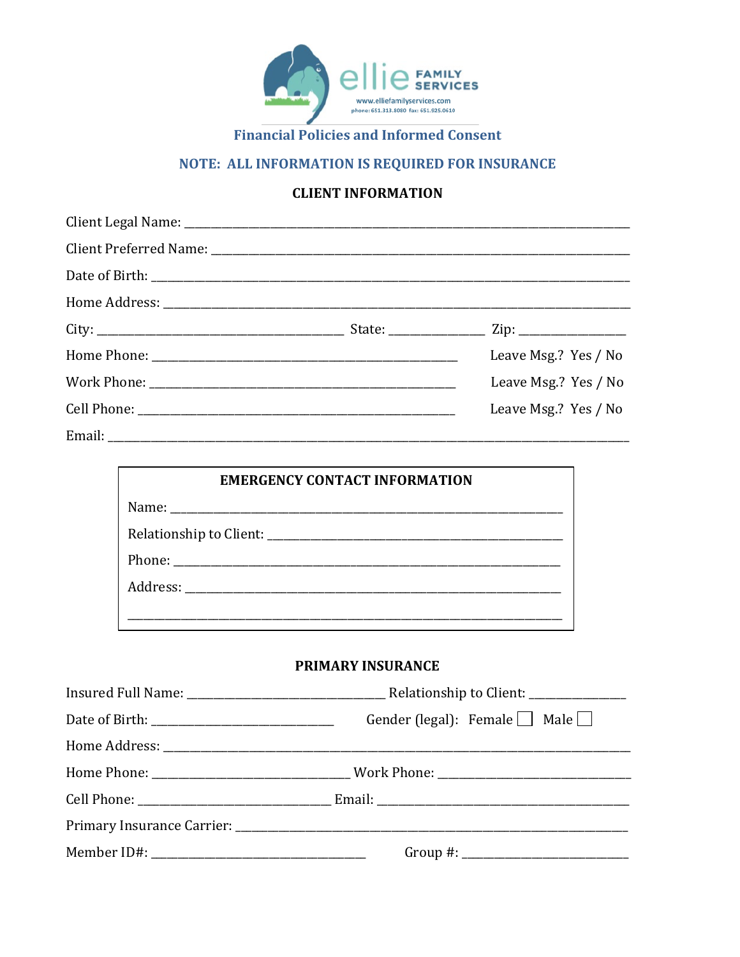

# NOTE: ALL INFORMATION IS REQUIRED FOR INSURANCE

#### **CLIENT INFORMATION**

|        | Leave Msg.? Yes / No |
|--------|----------------------|
|        | Leave Msg.? Yes / No |
|        | Leave Msg.? Yes / No |
| Email: |                      |

| <b>EMERGENCY CONTACT INFORMATION</b> |  |
|--------------------------------------|--|
|                                      |  |
|                                      |  |
|                                      |  |
|                                      |  |
|                                      |  |

#### PRIMARY INSURANCE

| Gender (legal): Female $\Box$ Male $\Box$ |
|-------------------------------------------|
|                                           |
|                                           |
|                                           |
|                                           |
|                                           |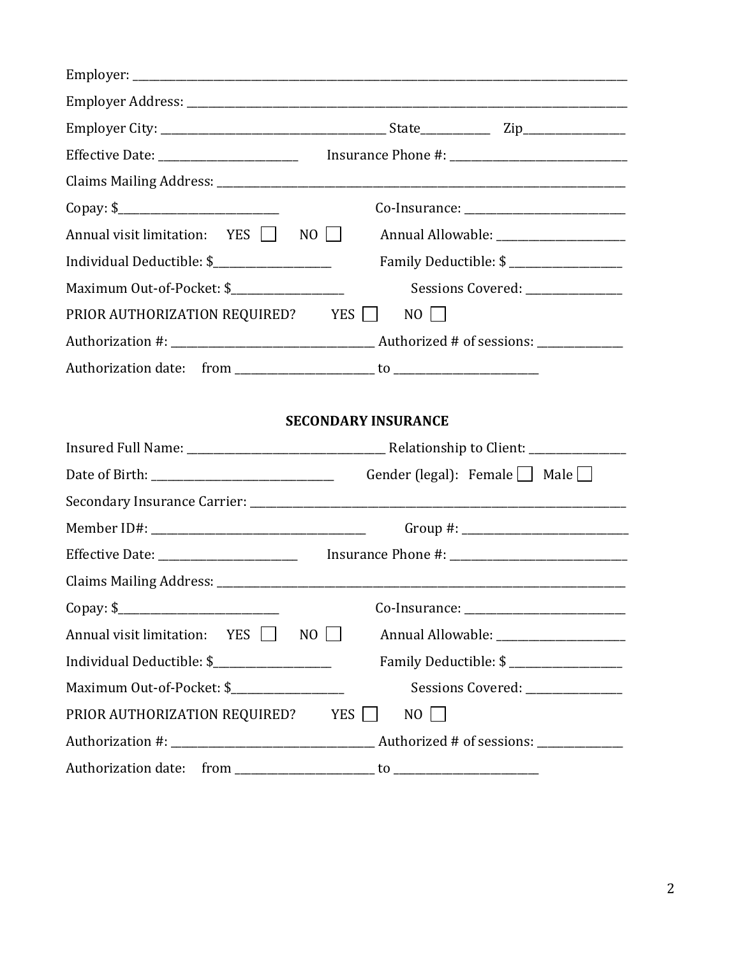| Annual visit limitation: $YES$ $\Box$ NO $\Box$                                                     | Annual Allowable: ____________________                                                                                                                                                                                                                                                                        |  |
|-----------------------------------------------------------------------------------------------------|---------------------------------------------------------------------------------------------------------------------------------------------------------------------------------------------------------------------------------------------------------------------------------------------------------------|--|
| Individual Deductible: \$                                                                           | Family Deductible: \$ ___________________                                                                                                                                                                                                                                                                     |  |
| Maximum Out-of-Pocket: \$____________________                                                       | Sessions Covered: _______________                                                                                                                                                                                                                                                                             |  |
| PRIOR AUTHORIZATION REQUIRED? YES □                                                                 | $NO$                                                                                                                                                                                                                                                                                                          |  |
|                                                                                                     |                                                                                                                                                                                                                                                                                                               |  |
|                                                                                                     |                                                                                                                                                                                                                                                                                                               |  |
|                                                                                                     |                                                                                                                                                                                                                                                                                                               |  |
|                                                                                                     | <b>SECONDARY INSURANCE</b>                                                                                                                                                                                                                                                                                    |  |
| Date of Birth: 2000 and 2000 and 2000 and 2000 and 2000 and 2000 and 2000 and 2000 and 2000 and 200 | Gender (legal): Female $\Box$ Male $\Box$                                                                                                                                                                                                                                                                     |  |
|                                                                                                     |                                                                                                                                                                                                                                                                                                               |  |
|                                                                                                     | Group #: $\frac{1}{2}$ = $\frac{1}{2}$ = $\frac{1}{2}$ = $\frac{1}{2}$ = $\frac{1}{2}$ = $\frac{1}{2}$ = $\frac{1}{2}$ = $\frac{1}{2}$ = $\frac{1}{2}$ = $\frac{1}{2}$ = $\frac{1}{2}$ = $\frac{1}{2}$ = $\frac{1}{2}$ = $\frac{1}{2}$ = $\frac{1}{2}$ = $\frac{1}{2}$ = $\frac{1}{2}$ = $\frac{1}{2}$        |  |
|                                                                                                     |                                                                                                                                                                                                                                                                                                               |  |
|                                                                                                     |                                                                                                                                                                                                                                                                                                               |  |
| Copy: \$                                                                                            |                                                                                                                                                                                                                                                                                                               |  |
| Annual visit limitation:<br>YES I<br>NO                                                             |                                                                                                                                                                                                                                                                                                               |  |
| Individual Deductible: \$                                                                           | Family Deductible: \$                                                                                                                                                                                                                                                                                         |  |
|                                                                                                     | Sessions Covered: _______________                                                                                                                                                                                                                                                                             |  |
| PRIOR AUTHORIZATION REQUIRED?                                                                       | <b>YES</b><br>$NO$                                                                                                                                                                                                                                                                                            |  |
|                                                                                                     |                                                                                                                                                                                                                                                                                                               |  |
| Authorization date: from                                                                            | $\mathfrak{g}$ to $\mathfrak{g}$ and $\mathfrak{g}$ and $\mathfrak{g}$ and $\mathfrak{g}$ and $\mathfrak{g}$ and $\mathfrak{g}$ and $\mathfrak{g}$ and $\mathfrak{g}$ and $\mathfrak{g}$ and $\mathfrak{g}$ and $\mathfrak{g}$ and $\mathfrak{g}$ and $\mathfrak{g}$ and $\mathfrak{g}$ and $\mathfrak{g}$ an |  |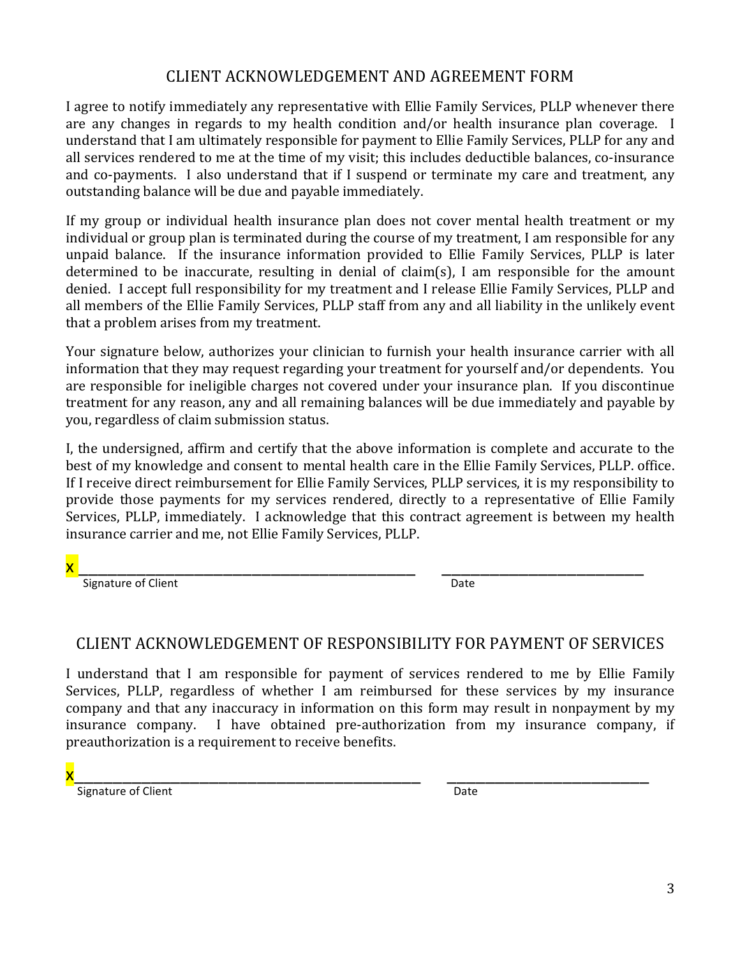### CLIENT ACKNOWLEDGEMENT AND AGREEMENT FORM

I agree to notify immediately any representative with Ellie Family Services, PLLP whenever there are any changes in regards to my health condition and/or health insurance plan coverage. I understand that I am ultimately responsible for payment to Ellie Family Services, PLLP for any and all services rendered to me at the time of my visit; this includes deductible balances, co-insurance and co-payments. I also understand that if I suspend or terminate my care and treatment, any outstanding balance will be due and payable immediately.

If my group or individual health insurance plan does not cover mental health treatment or my individual or group plan is terminated during the course of my treatment, I am responsible for any unpaid balance. If the insurance information provided to Ellie Family Services, PLLP is later determined to be inaccurate, resulting in denial of claim(s), I am responsible for the amount denied. I accept full responsibility for my treatment and I release Ellie Family Services, PLLP and all members of the Ellie Family Services, PLLP staff from any and all liability in the unlikely event that a problem arises from my treatment.

Your signature below, authorizes your clinician to furnish your health insurance carrier with all information that they may request regarding your treatment for yourself and/or dependents. You are responsible for ineligible charges not covered under your insurance plan. If you discontinue treatment for any reason, any and all remaining balances will be due immediately and payable by you, regardless of claim submission status.

I, the undersigned, affirm and certify that the above information is complete and accurate to the best of my knowledge and consent to mental health care in the Ellie Family Services, PLLP. office. If I receive direct reimbursement for Ellie Family Services, PLLP services, it is my responsibility to provide those payments for my services rendered, directly to a representative of Ellie Family Services, PLLP, immediately. I acknowledge that this contract agreement is between my health insurance carrier and me, not Ellie Family Services, PLLP.

x \_\_\_\_\_\_\_\_\_\_\_\_\_\_\_\_\_\_\_\_\_\_\_\_\_\_\_\_\_\_\_\_\_\_\_ \_\_\_\_\_\_\_\_\_\_\_\_\_\_\_\_\_\_\_\_\_

 Signature of Client Date

# CLIENT ACKNOWLEDGEMENT OF RESPONSIBILITY FOR PAYMENT OF SERVICES

I understand that I am responsible for payment of services rendered to me by Ellie Family Services, PLLP, regardless of whether I am reimbursed for these services by my insurance company and that any inaccuracy in information on this form may result in nonpayment by my insurance company. I have obtained pre-authorization from my insurance company, if preauthorization is a requirement to receive benefits.

x\_\_\_\_\_\_\_\_\_\_\_\_\_\_\_\_\_\_\_\_\_\_\_\_\_\_\_\_\_\_\_\_\_\_\_\_ \_\_\_\_\_\_\_\_\_\_\_\_\_\_\_\_\_\_\_\_\_ Signature of Client Date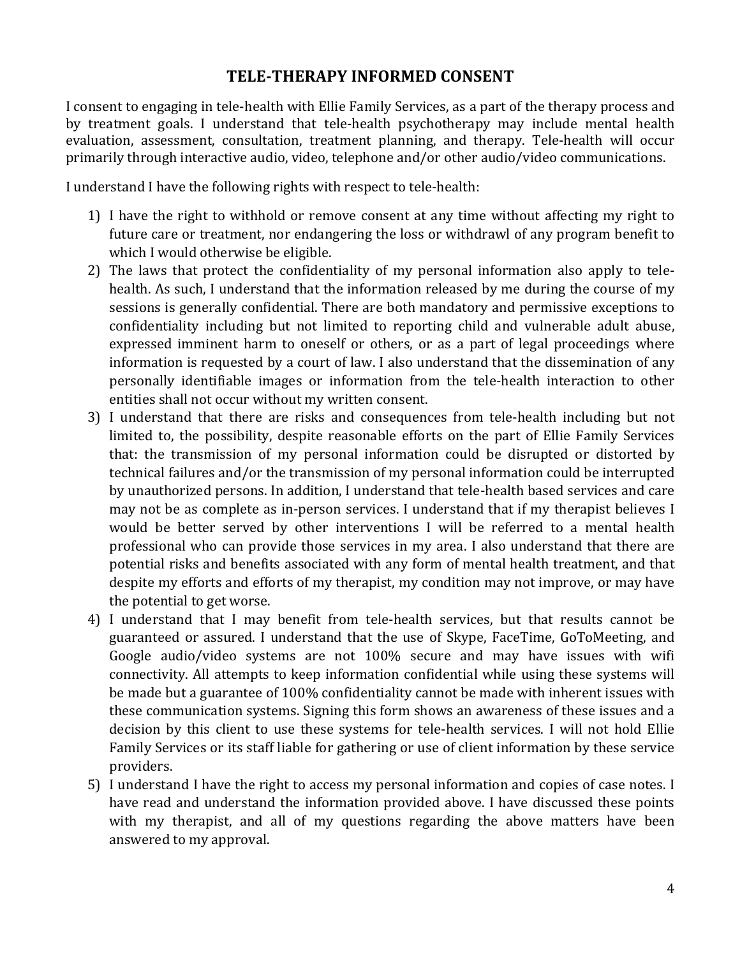### **TELE-THERAPY INFORMED CONSENT**

I consent to engaging in tele-health with Ellie Family Services, as a part of the therapy process and by treatment goals. I understand that tele-health psychotherapy may include mental health evaluation, assessment, consultation, treatment planning, and therapy. Tele-health will occur primarily through interactive audio, video, telephone and/or other audio/video communications.

I understand I have the following rights with respect to tele-health:

- 1) I have the right to withhold or remove consent at any time without affecting my right to future care or treatment, nor endangering the loss or withdrawl of any program benefit to which I would otherwise be eligible.
- 2) The laws that protect the confidentiality of my personal information also apply to telehealth. As such, I understand that the information released by me during the course of my sessions is generally confidential. There are both mandatory and permissive exceptions to confidentiality including but not limited to reporting child and vulnerable adult abuse, expressed imminent harm to oneself or others, or as a part of legal proceedings where information is requested by a court of law. I also understand that the dissemination of any personally identifiable images or information from the tele-health interaction to other entities shall not occur without my written consent.
- 3) I understand that there are risks and consequences from tele-health including but not limited to, the possibility, despite reasonable efforts on the part of Ellie Family Services that: the transmission of my personal information could be disrupted or distorted by technical failures and/or the transmission of my personal information could be interrupted by unauthorized persons. In addition, I understand that tele-health based services and care may not be as complete as in-person services. I understand that if my therapist believes I would be better served by other interventions I will be referred to a mental health professional who can provide those services in my area. I also understand that there are potential risks and benefits associated with any form of mental health treatment, and that despite my efforts and efforts of my therapist, my condition may not improve, or may have the potential to get worse.
- 4) I understand that I may benefit from tele-health services, but that results cannot be guaranteed or assured. I understand that the use of Skype, FaceTime, GoToMeeting, and Google audio/video systems are not 100% secure and may have issues with wifi connectivity. All attempts to keep information confidential while using these systems will be made but a guarantee of 100% confidentiality cannot be made with inherent issues with these communication systems. Signing this form shows an awareness of these issues and a decision by this client to use these systems for tele-health services. I will not hold Ellie Family Services or its staff liable for gathering or use of client information by these service providers.
- 5) I understand I have the right to access my personal information and copies of case notes. I have read and understand the information provided above. I have discussed these points with my therapist, and all of my questions regarding the above matters have been answered to my approval.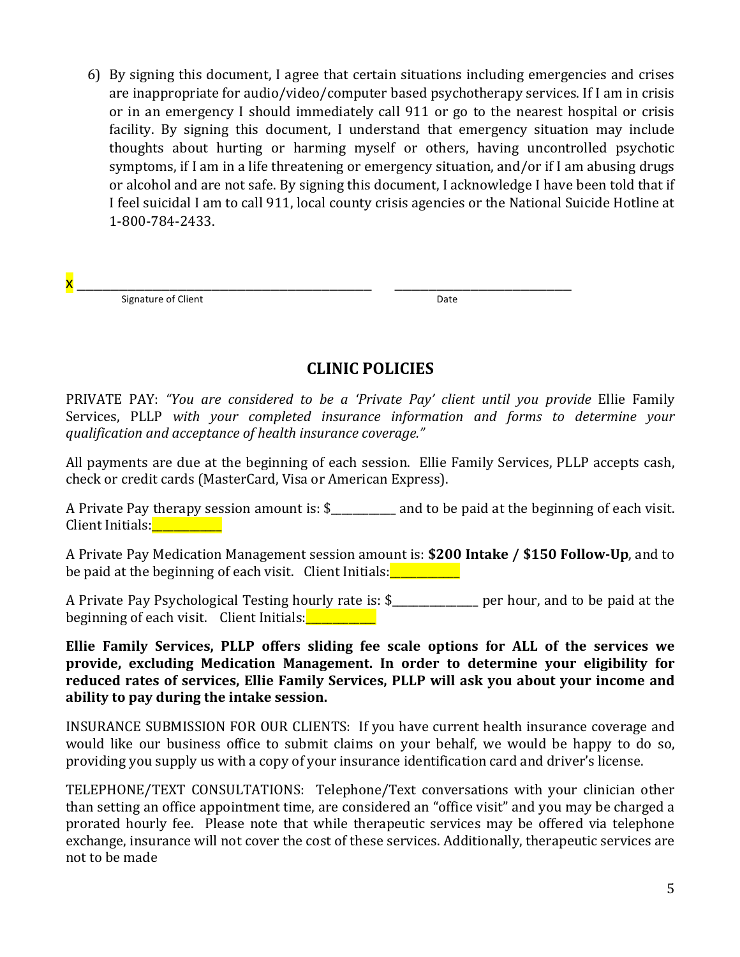6) By signing this document, I agree that certain situations including emergencies and crises are inappropriate for audio/video/computer based psychotherapy services. If I am in crisis or in an emergency I should immediately call 911 or go to the nearest hospital or crisis facility. By signing this document, I understand that emergency situation may include thoughts about hurting or harming myself or others, having uncontrolled psychotic symptoms, if I am in a life threatening or emergency situation, and/or if I am abusing drugs or alcohol and are not safe. By signing this document, I acknowledge I have been told that if I feel suicidal I am to call 911, local county crisis agencies or the National Suicide Hotline at 1-800-784-2433.

| X               |     |
|-----------------|-----|
| Signat.<br>---- | --- |

#### **CLINIC POLICIES**

PRIVATE PAY: "You are considered to be a 'Private Pay' client until you provide Ellie Family Services, PLLP with your completed insurance information and forms to determine your *qualification and acceptance of health insurance coverage."*

All payments are due at the beginning of each session. Ellie Family Services, PLLP accepts cash, check or credit cards (MasterCard, Visa or American Express).

A Private Pay therapy session amount is:  $\frac{1}{2}$  and to be paid at the beginning of each visit. Client Initials:\_\_\_\_\_\_\_\_\_\_\_\_\_

A Private Pay Medication Management session amount is: **\$200 Intake / \$150 Follow-Up**, and to be paid at the beginning of each visit. Client Initials: $\frac{1}{\sqrt{2}}$ 

A Private Pay Psychological Testing hourly rate is: \$\_\_\_\_\_\_\_\_\_\_\_\_\_ per hour, and to be paid at the beginning of each visit. Client Initials: **With the Client** 

Ellie Family Services, PLLP offers sliding fee scale options for ALL of the services we provide, excluding Medication Management. In order to determine your eligibility for reduced rates of services, Ellie Family Services, PLLP will ask you about your income and ability to pay during the intake session.

INSURANCE SUBMISSION FOR OUR CLIENTS: If you have current health insurance coverage and would like our business office to submit claims on your behalf, we would be happy to do so, providing you supply us with a copy of your insurance identification card and driver's license.

TELEPHONE/TEXT CONSULTATIONS: Telephone/Text conversations with your clinician other than setting an office appointment time, are considered an "office visit" and you may be charged a prorated hourly fee. Please note that while therapeutic services may be offered via telephone exchange, insurance will not cover the cost of these services. Additionally, therapeutic services are not to be made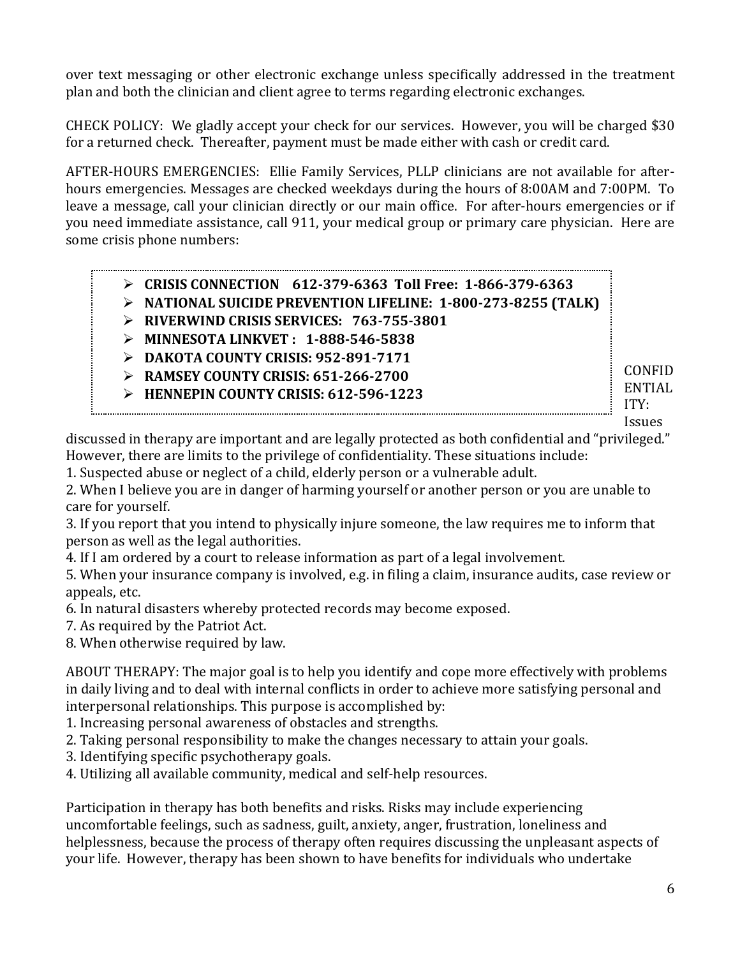over text messaging or other electronic exchange unless specifically addressed in the treatment plan and both the clinician and client agree to terms regarding electronic exchanges.

CHECK POLICY: We gladly accept your check for our services. However, you will be charged \$30 for a returned check. Thereafter, payment must be made either with cash or credit card.

AFTER-HOURS EMERGENCIES: Ellie Family Services, PLLP clinicians are not available for afterhours emergencies. Messages are checked weekdays during the hours of 8:00AM and 7:00PM. To leave a message, call your clinician directly or our main office. For after-hours emergencies or if you need immediate assistance, call 911, your medical group or primary care physician. Here are some crisis phone numbers:

|  | $\triangleright$ CRISIS CONNECTION 612-379-6363 Toll Free: 1-866-379-6363    |
|--|------------------------------------------------------------------------------|
|  | $\triangleright$ NATIONAL SUICIDE PREVENTION LIFELINE: 1-800-273-8255 (TALK) |
|  | $\land$ Divenuitud cricic centrate $\blacksquare$ co $\blacksquare$ et 0004  |

- Ø **RIVERWIND CRISIS SERVICES: 763-755-3801**
- Ø **MINNESOTA LINKVET : 1-888-546-5838**
- Ø **DAKOTA COUNTY CRISIS: 952-891-7171**
- Ø **RAMSEY COUNTY CRISIS: 651-266-2700**
- Ø **HENNEPIN COUNTY CRISIS: 612-596-1223**

CONFID ENTIAL ITY:

Issues 

discussed in therapy are important and are legally protected as both confidential and "privileged." However, there are limits to the privilege of confidentiality. These situations include:

1. Suspected abuse or neglect of a child, elderly person or a vulnerable adult.

2. When I believe you are in danger of harming yourself or another person or you are unable to care for vourself.

3. If you report that you intend to physically injure someone, the law requires me to inform that person as well as the legal authorities.

4. If I am ordered by a court to release information as part of a legal involvement.

5. When your insurance company is involved, e.g. in filing a claim, insurance audits, case review or appeals, etc.

6. In natural disasters whereby protected records may become exposed.

7. As required by the Patriot Act.

8. When otherwise required by law.

ABOUT THERAPY: The major goal is to help you identify and cope more effectively with problems in daily living and to deal with internal conflicts in order to achieve more satisfying personal and interpersonal relationships. This purpose is accomplished by:

1. Increasing personal awareness of obstacles and strengths.

- 2. Taking personal responsibility to make the changes necessary to attain your goals.
- 3. Identifying specific psychotherapy goals.

4. Utilizing all available community, medical and self-help resources.

Participation in therapy has both benefits and risks. Risks may include experiencing uncomfortable feelings, such as sadness, guilt, anxiety, anger, frustration, loneliness and helplessness, because the process of therapy often requires discussing the unpleasant aspects of your life. However, therapy has been shown to have benefits for individuals who undertake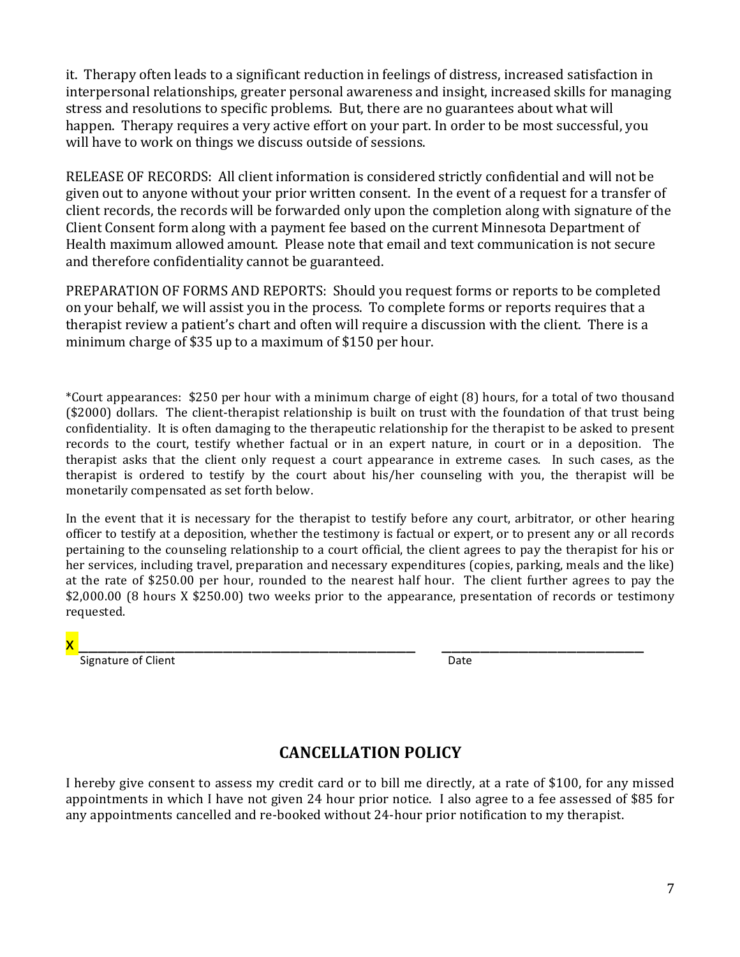it. Therapy often leads to a significant reduction in feelings of distress, increased satisfaction in interpersonal relationships, greater personal awareness and insight, increased skills for managing stress and resolutions to specific problems. But, there are no guarantees about what will happen. Therapy requires a very active effort on your part. In order to be most successful, you will have to work on things we discuss outside of sessions.

RELEASE OF RECORDS: All client information is considered strictly confidential and will not be given out to anyone without your prior written consent. In the event of a request for a transfer of client records, the records will be forwarded only upon the completion along with signature of the Client Consent form along with a payment fee based on the current Minnesota Department of Health maximum allowed amount. Please note that email and text communication is not secure and therefore confidentiality cannot be guaranteed.

PREPARATION OF FORMS AND REPORTS: Should you request forms or reports to be completed on your behalf, we will assist you in the process. To complete forms or reports requires that a therapist review a patient's chart and often will require a discussion with the client. There is a minimum charge of \$35 up to a maximum of \$150 per hour.

\*Court appearances:  $$250$  per hour with a minimum charge of eight  $(8)$  hours, for a total of two thousand (\$2000) dollars. The client-therapist relationship is built on trust with the foundation of that trust being confidentiality. It is often damaging to the therapeutic relationship for the therapist to be asked to present records to the court, testify whether factual or in an expert nature, in court or in a deposition. The therapist asks that the client only request a court appearance in extreme cases. In such cases, as the therapist is ordered to testify by the court about his/her counseling with you, the therapist will be monetarily compensated as set forth below.

In the event that it is necessary for the therapist to testify before any court, arbitrator, or other hearing officer to testify at a deposition, whether the testimony is factual or expert, or to present any or all records pertaining to the counseling relationship to a court official, the client agrees to pay the therapist for his or her services, including travel, preparation and necessary expenditures (copies, parking, meals and the like) at the rate of \$250.00 per hour, rounded to the nearest half hour. The client further agrees to pay the \$2,000.00 (8 hours X \$250.00) two weeks prior to the appearance, presentation of records or testimony requested.

### x \_\_\_\_\_\_\_\_\_\_\_\_\_\_\_\_\_\_\_\_\_\_\_\_\_\_\_\_\_\_\_\_\_\_\_ \_\_\_\_\_\_\_\_\_\_\_\_\_\_\_\_\_\_\_\_\_

 Signature of Client Date

## **CANCELLATION POLICY**

I hereby give consent to assess my credit card or to bill me directly, at a rate of \$100, for any missed appointments in which I have not given 24 hour prior notice. I also agree to a fee assessed of \$85 for any appointments cancelled and re-booked without 24-hour prior notification to my therapist.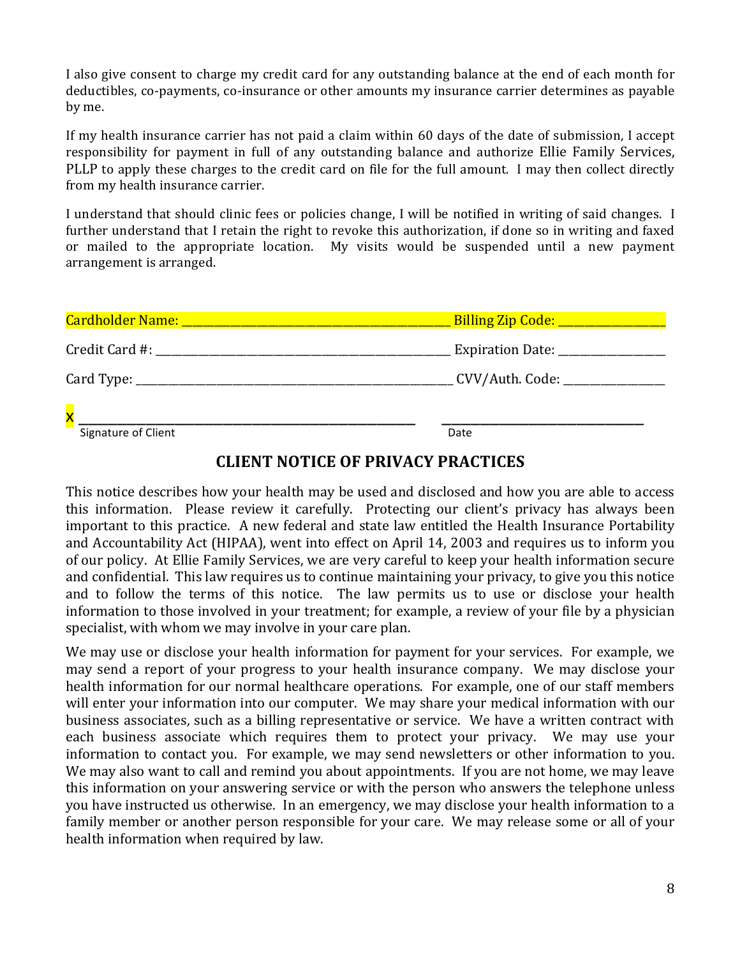I also give consent to charge my credit card for any outstanding balance at the end of each month for deductibles, co-payments, co-insurance or other amounts my insurance carrier determines as payable by me.

If my health insurance carrier has not paid a claim within 60 days of the date of submission, I accept responsibility for payment in full of any outstanding balance and authorize Ellie Family Services, PLLP to apply these charges to the credit card on file for the full amount. I may then collect directly from my health insurance carrier.

I understand that should clinic fees or policies change, I will be notified in writing of said changes. I further understand that I retain the right to revoke this authorization, if done so in writing and faxed or mailed to the appropriate location. My visits would be suspended until a new payment arrangement is arranged.

|                         | CVV/Auth. Code: _______________ |
|-------------------------|---------------------------------|
| $\overline{\mathbf{x}}$ |                                 |
| Signature of Client     | Date                            |

#### **CLIENT NOTICE OF PRIVACY PRACTICES**

This notice describes how your health may be used and disclosed and how you are able to access this information. Please review it carefully. Protecting our client's privacy has always been important to this practice. A new federal and state law entitled the Health Insurance Portability and Accountability Act (HIPAA), went into effect on April 14, 2003 and requires us to inform you of our policy. At Ellie Family Services, we are very careful to keep your health information secure and confidential. This law requires us to continue maintaining your privacy, to give you this notice and to follow the terms of this notice. The law permits us to use or disclose your health information to those involved in your treatment; for example, a review of your file by a physician specialist, with whom we may involve in your care plan.

We may use or disclose your health information for payment for your services. For example, we may send a report of your progress to your health insurance company. We may disclose your health information for our normal healthcare operations. For example, one of our staff members will enter your information into our computer. We may share your medical information with our business associates, such as a billing representative or service. We have a written contract with each business associate which requires them to protect your privacy. We may use your information to contact you. For example, we may send newsletters or other information to you. We may also want to call and remind you about appointments. If you are not home, we may leave this information on your answering service or with the person who answers the telephone unless you have instructed us otherwise. In an emergency, we may disclose your health information to a family member or another person responsible for your care. We may release some or all of your health information when required by law.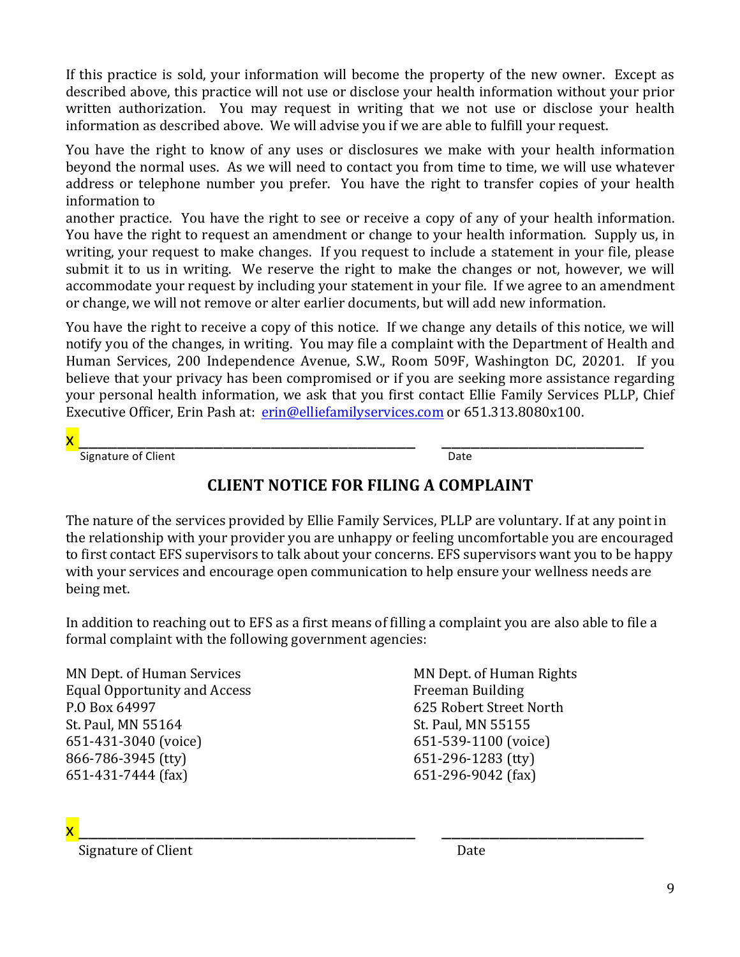If this practice is sold, your information will become the property of the new owner. Except as described above, this practice will not use or disclose your health information without your prior written authorization. You may request in writing that we not use or disclose your health information as described above. We will advise you if we are able to fulfill your request.

You have the right to know of any uses or disclosures we make with your health information beyond the normal uses. As we will need to contact you from time to time, we will use whatever address or telephone number you prefer. You have the right to transfer copies of your health information to 

another practice. You have the right to see or receive a copy of any of your health information. You have the right to request an amendment or change to your health information. Supply us, in writing, your request to make changes. If you request to include a statement in your file, please submit it to us in writing. We reserve the right to make the changes or not, however, we will accommodate your request by including your statement in your file. If we agree to an amendment or change, we will not remove or alter earlier documents, but will add new information.

You have the right to receive a copy of this notice. If we change any details of this notice, we will notify you of the changes, in writing. You may file a complaint with the Department of Health and Human Services, 200 Independence Avenue, S.W., Room 509F, Washington DC, 20201. If you believe that your privacy has been compromised or if you are seeking more assistance regarding your personal health information, we ask that you first contact Ellie Family Services PLLP, Chief Executive Officer, Erin Pash at: erin@elliefamilyservices.com or 651.313.8080x100.

x \_\_\_\_\_\_\_\_\_\_\_\_\_\_\_\_\_\_\_\_\_\_\_\_\_\_\_\_\_\_\_\_\_\_\_ \_\_\_\_\_\_\_\_\_\_\_\_\_\_\_\_\_\_\_\_\_

 Signature of Client Date

# **CLIENT NOTICE FOR FILING A COMPLAINT**

The nature of the services provided by Ellie Family Services, PLLP are voluntary. If at any point in the relationship with your provider you are unhappy or feeling uncomfortable you are encouraged to first contact EFS supervisors to talk about your concerns. EFS supervisors want you to be happy with your services and encourage open communication to help ensure your wellness needs are being met.

In addition to reaching out to EFS as a first means of filling a complaint you are also able to file a formal complaint with the following government agencies:

MN Dept. of Human Services MN Dept. of Human Rights Equal Opportunity and Access Freeman Building P.O Box 64997 625 Robert Street North St. Paul, MN 55164 St. Paul, MN 55155 651-431-3040 (voice) 651-539-1100 (voice) 866-786-3945 (tty) 651-296-1283 (tty) 651-431-7444 (fax) 651-296-9042 (fax)

x \_\_\_\_\_\_\_\_\_\_\_\_\_\_\_\_\_\_\_\_\_\_\_\_\_\_\_\_\_\_\_\_\_\_\_ \_\_\_\_\_\_\_\_\_\_\_\_\_\_\_\_\_\_\_\_\_ Signature of Client **Date Date**